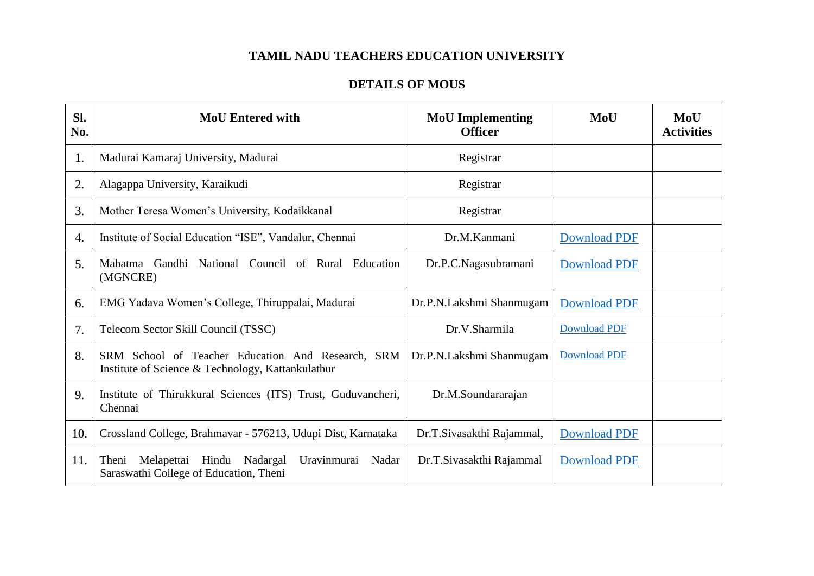## **TAMIL NADU TEACHERS EDUCATION UNIVERSITY**

## **DETAILS OF MOUS**

| SI.<br>No. | <b>MoU Entered with</b>                                                                                 | <b>MoU</b> Implementing<br><b>Officer</b> | MoU                 | MoU<br><b>Activities</b> |
|------------|---------------------------------------------------------------------------------------------------------|-------------------------------------------|---------------------|--------------------------|
| 1.         | Madurai Kamaraj University, Madurai                                                                     | Registrar                                 |                     |                          |
| 2.         | Alagappa University, Karaikudi                                                                          | Registrar                                 |                     |                          |
| 3.         | Mother Teresa Women's University, Kodaikkanal                                                           | Registrar                                 |                     |                          |
| 4.         | Institute of Social Education "ISE", Vandalur, Chennai                                                  | Dr.M.Kanmani                              | <b>Download PDF</b> |                          |
| 5.         | Mahatma Gandhi National Council of Rural Education<br>(MGNCRE)                                          | Dr.P.C.Nagasubramani                      | <b>Download PDF</b> |                          |
| 6.         | EMG Yadava Women's College, Thiruppalai, Madurai                                                        | Dr.P.N.Lakshmi Shanmugam                  | <b>Download PDF</b> |                          |
| 7.         | Telecom Sector Skill Council (TSSC)                                                                     | Dr.V.Sharmila                             | <b>Download PDF</b> |                          |
| 8.         | SRM School of Teacher Education And Research, SRM<br>Institute of Science & Technology, Kattankulathur  | Dr.P.N.Lakshmi Shanmugam                  | <b>Download PDF</b> |                          |
| 9.         | Institute of Thirukkural Sciences (ITS) Trust, Guduvancheri,<br>Chennai                                 | Dr.M.Soundararajan                        |                     |                          |
| 10.        | Crossland College, Brahmavar - 576213, Udupi Dist, Karnataka                                            | Dr.T.Sivasakthi Rajammal,                 | <b>Download PDF</b> |                          |
| 11.        | Melapettai Hindu<br>Nadargal<br>Uravinmurai<br>Theni<br>Nadar<br>Saraswathi College of Education, Theni | Dr.T.Sivasakthi Rajammal                  | <b>Download PDF</b> |                          |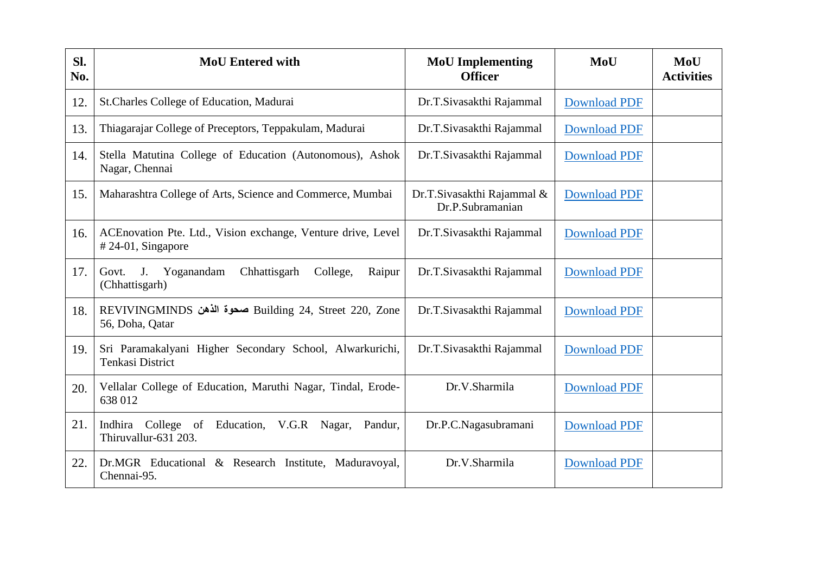| Sl.<br>No. | <b>MoU</b> Entered with                                                                | <b>MoU</b> Implementing<br><b>Officer</b>      | MoU                 | MoU<br><b>Activities</b> |
|------------|----------------------------------------------------------------------------------------|------------------------------------------------|---------------------|--------------------------|
| 12.        | St.Charles College of Education, Madurai                                               | Dr.T.Sivasakthi Rajammal                       | <b>Download PDF</b> |                          |
| 13.        | Thiagarajar College of Preceptors, Teppakulam, Madurai                                 | Dr.T.Sivasakthi Rajammal                       | <b>Download PDF</b> |                          |
| 14.        | Stella Matutina College of Education (Autonomous), Ashok<br>Nagar, Chennai             | Dr.T.Sivasakthi Rajammal                       | <b>Download PDF</b> |                          |
| 15.        | Maharashtra College of Arts, Science and Commerce, Mumbai                              | Dr.T.Sivasakthi Rajammal &<br>Dr.P.Subramanian | <b>Download PDF</b> |                          |
| 16.        | ACE novation Pte. Ltd., Vision exchange, Venture drive, Level<br>#24-01, Singapore     | Dr.T.Sivasakthi Rajammal                       | <b>Download PDF</b> |                          |
| 17.        | J. Yoganandam<br>Chhattisgarh<br>College,<br>Raipur<br>Govt.<br>(Chhattisgarh)         | Dr.T.Sivasakthi Rajammal                       | <b>Download PDF</b> |                          |
| 18.        | REVIVINGMINDS صحوة الذهن Building 24, Street 220, Zone<br>56, Doha, Qatar              | Dr.T.Sivasakthi Rajammal                       | <b>Download PDF</b> |                          |
| 19.        | Sri Paramakalyani Higher Secondary School, Alwarkurichi,<br>Tenkasi District           | Dr.T.Sivasakthi Rajammal                       | <b>Download PDF</b> |                          |
| 20.        | Vellalar College of Education, Maruthi Nagar, Tindal, Erode-<br>638 012                | Dr.V.Sharmila                                  | <b>Download PDF</b> |                          |
| 21.        | Indhira<br>College<br>Education, V.G.R Nagar,<br>of<br>Pandur,<br>Thiruvallur-631 203. | Dr.P.C.Nagasubramani                           | <b>Download PDF</b> |                          |
| 22.        | Dr.MGR Educational & Research Institute, Maduravoyal,<br>Chennai-95.                   | Dr.V.Sharmila                                  | <b>Download PDF</b> |                          |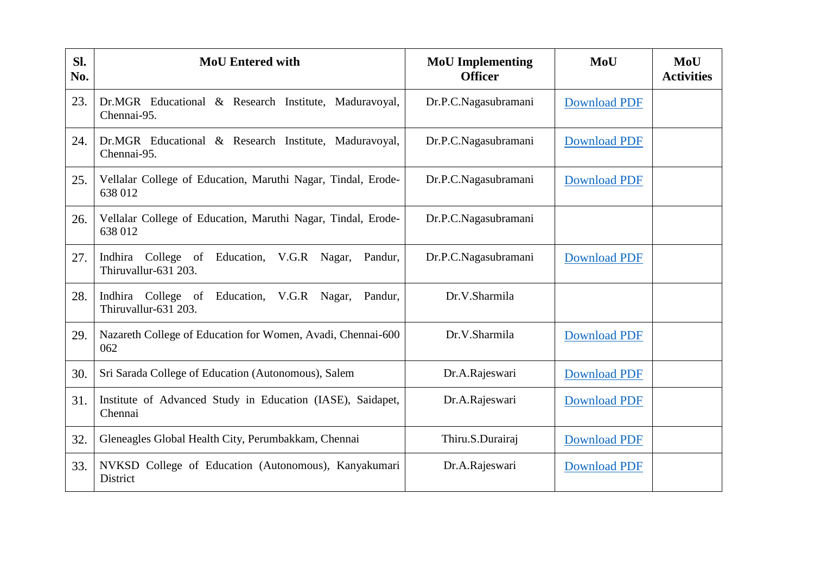| SI.<br>No. | <b>MoU</b> Entered with                                                       | <b>MoU</b> Implementing<br><b>Officer</b> | MoU                 | MoU<br><b>Activities</b> |
|------------|-------------------------------------------------------------------------------|-------------------------------------------|---------------------|--------------------------|
| 23.        | Dr.MGR Educational & Research Institute, Maduravoyal,<br>Chennai-95.          | Dr.P.C.Nagasubramani                      | <b>Download PDF</b> |                          |
| 24.        | Dr.MGR Educational & Research Institute, Maduravoyal,<br>Chennai-95.          | Dr.P.C.Nagasubramani                      | <b>Download PDF</b> |                          |
| 25.        | Vellalar College of Education, Maruthi Nagar, Tindal, Erode-<br>638 012       | Dr.P.C.Nagasubramani                      | <b>Download PDF</b> |                          |
| 26.        | Vellalar College of Education, Maruthi Nagar, Tindal, Erode-<br>638 012       | Dr.P.C.Nagasubramani                      |                     |                          |
| 27.        | Indhira College of Education, V.G.R Nagar,<br>Pandur,<br>Thiruvallur-631 203. | Dr.P.C.Nagasubramani                      | <b>Download PDF</b> |                          |
| 28.        | Indhira College of Education, V.G.R Nagar,<br>Pandur,<br>Thiruvallur-631 203. | Dr.V.Sharmila                             |                     |                          |
| 29.        | Nazareth College of Education for Women, Avadi, Chennai-600<br>062            | Dr.V.Sharmila                             | <b>Download PDF</b> |                          |
| 30.        | Sri Sarada College of Education (Autonomous), Salem                           | Dr.A.Rajeswari                            | <b>Download PDF</b> |                          |
| 31.        | Institute of Advanced Study in Education (IASE), Saidapet,<br>Chennai         | Dr.A.Rajeswari                            | <b>Download PDF</b> |                          |
| 32.        | Gleneagles Global Health City, Perumbakkam, Chennai                           | Thiru.S.Durairaj                          | <b>Download PDF</b> |                          |
| 33.        | NVKSD College of Education (Autonomous), Kanyakumari<br>District              | Dr.A.Rajeswari                            | <b>Download PDF</b> |                          |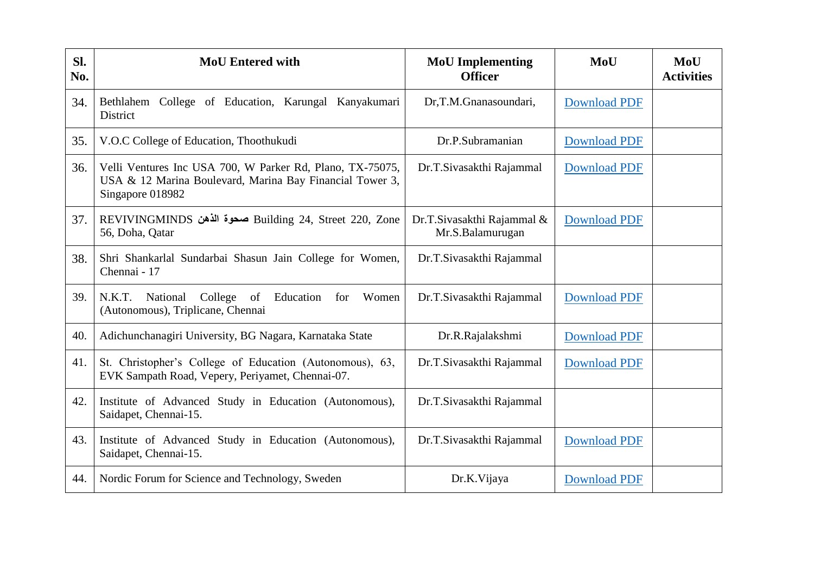| SI.<br>No. | <b>MoU</b> Entered with                                                                                                                   | <b>MoU</b> Implementing<br><b>Officer</b>      | MoU                 | MoU<br><b>Activities</b> |
|------------|-------------------------------------------------------------------------------------------------------------------------------------------|------------------------------------------------|---------------------|--------------------------|
| 34.        | Bethlahem College of Education, Karungal Kanyakumari<br>District                                                                          | Dr,T.M.Gnanasoundari,                          | <b>Download PDF</b> |                          |
| 35.        | V.O.C College of Education, Thoothukudi                                                                                                   | Dr.P.Subramanian                               | <b>Download PDF</b> |                          |
| 36.        | Velli Ventures Inc USA 700, W Parker Rd, Plano, TX-75075,<br>USA & 12 Marina Boulevard, Marina Bay Financial Tower 3,<br>Singapore 018982 | Dr.T.Sivasakthi Rajammal                       | <b>Download PDF</b> |                          |
| 37.        | REVIVINGMINDS صحوة الذهن Building 24, Street 220, Zone<br>56, Doha, Qatar                                                                 | Dr.T.Sivasakthi Rajammal &<br>Mr.S.Balamurugan | <b>Download PDF</b> |                          |
| 38.        | Shri Shankarlal Sundarbai Shasun Jain College for Women,<br>Chennai - 17                                                                  | Dr.T.Sivasakthi Rajammal                       |                     |                          |
| 39.        | College<br>N.K.T.<br>National<br>of<br>Education<br>Women<br>for<br>(Autonomous), Triplicane, Chennai                                     | Dr.T.Sivasakthi Rajammal                       | <b>Download PDF</b> |                          |
| 40.        | Adichunchanagiri University, BG Nagara, Karnataka State                                                                                   | Dr.R.Rajalakshmi                               | <b>Download PDF</b> |                          |
| 41.        | St. Christopher's College of Education (Autonomous), 63,<br>EVK Sampath Road, Vepery, Periyamet, Chennai-07.                              | Dr.T.Sivasakthi Rajammal                       | <b>Download PDF</b> |                          |
| 42.        | Institute of Advanced Study in Education (Autonomous),<br>Saidapet, Chennai-15.                                                           | Dr.T.Sivasakthi Rajammal                       |                     |                          |
| 43.        | Institute of Advanced Study in Education (Autonomous),<br>Saidapet, Chennai-15.                                                           | Dr.T.Sivasakthi Rajammal                       | <b>Download PDF</b> |                          |
| 44.        | Nordic Forum for Science and Technology, Sweden                                                                                           | Dr.K.Vijaya                                    | <b>Download PDF</b> |                          |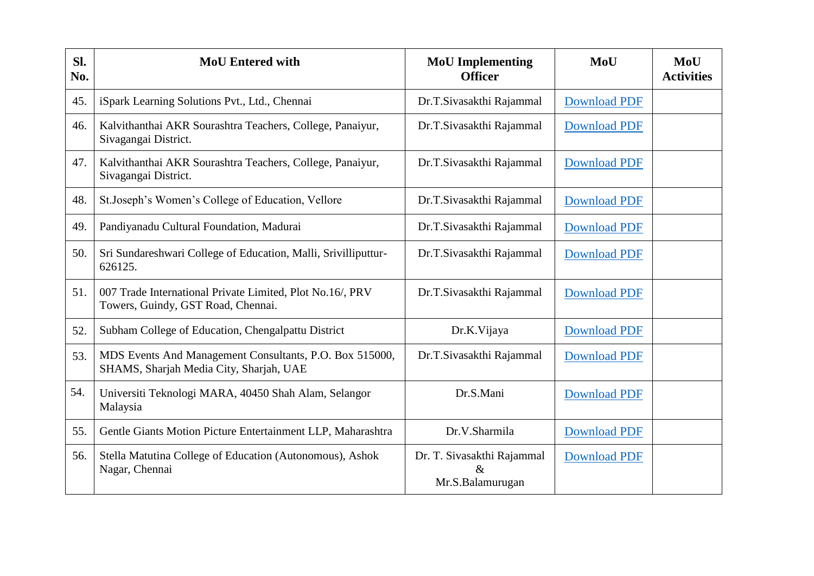| Sl.<br>No. | <b>MoU</b> Entered with                                                                            | <b>MoU</b> Implementing<br><b>Officer</b>              | MoU                 | MoU<br><b>Activities</b> |
|------------|----------------------------------------------------------------------------------------------------|--------------------------------------------------------|---------------------|--------------------------|
| 45.        | iSpark Learning Solutions Pvt., Ltd., Chennai                                                      | Dr.T.Sivasakthi Rajammal                               | <b>Download PDF</b> |                          |
| 46.        | Kalvithanthai AKR Sourashtra Teachers, College, Panaiyur,<br>Sivagangai District.                  | Dr.T.Sivasakthi Rajammal                               | <b>Download PDF</b> |                          |
| 47.        | Kalvithanthai AKR Sourashtra Teachers, College, Panaiyur,<br>Sivagangai District.                  | Dr.T.Sivasakthi Rajammal                               | <b>Download PDF</b> |                          |
| 48.        | St.Joseph's Women's College of Education, Vellore                                                  | Dr.T.Sivasakthi Rajammal                               | <b>Download PDF</b> |                          |
| 49.        | Pandiyanadu Cultural Foundation, Madurai                                                           | Dr.T.Sivasakthi Rajammal                               | <b>Download PDF</b> |                          |
| 50.        | Sri Sundareshwari College of Education, Malli, Srivilliputtur-<br>626125.                          | Dr.T.Sivasakthi Rajammal                               | <b>Download PDF</b> |                          |
| 51.        | 007 Trade International Private Limited, Plot No.16/, PRV<br>Towers, Guindy, GST Road, Chennai.    | Dr.T.Sivasakthi Rajammal                               | <b>Download PDF</b> |                          |
| 52.        | Subham College of Education, Chengalpattu District                                                 | Dr.K.Vijaya                                            | <b>Download PDF</b> |                          |
| 53.        | MDS Events And Management Consultants, P.O. Box 515000,<br>SHAMS, Sharjah Media City, Sharjah, UAE | Dr.T.Sivasakthi Rajammal                               | <b>Download PDF</b> |                          |
| 54.        | Universiti Teknologi MARA, 40450 Shah Alam, Selangor<br>Malaysia                                   | Dr.S.Mani                                              | <b>Download PDF</b> |                          |
| 55.        | Gentle Giants Motion Picture Entertainment LLP, Maharashtra                                        | Dr.V.Sharmila                                          | <b>Download PDF</b> |                          |
| 56.        | Stella Matutina College of Education (Autonomous), Ashok<br>Nagar, Chennai                         | Dr. T. Sivasakthi Rajammal<br>$\&$<br>Mr.S.Balamurugan | <b>Download PDF</b> |                          |